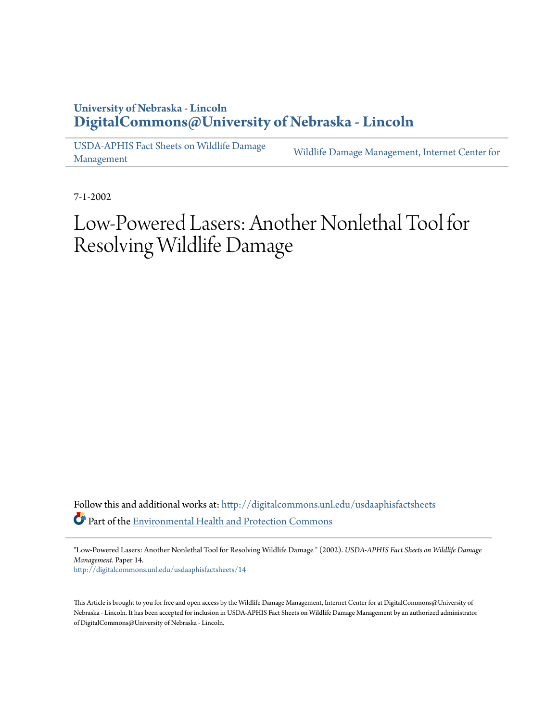### **University of Nebraska - Lincoln [DigitalCommons@University of Nebraska - Lincoln](http://digitalcommons.unl.edu?utm_source=digitalcommons.unl.edu%2Fusdaaphisfactsheets%2F14&utm_medium=PDF&utm_campaign=PDFCoverPages)**

[USDA-APHIS Fact Sheets on Wildlife Damage](http://digitalcommons.unl.edu/usdaaphisfactsheets?utm_source=digitalcommons.unl.edu%2Fusdaaphisfactsheets%2F14&utm_medium=PDF&utm_campaign=PDFCoverPages) [Management](http://digitalcommons.unl.edu/usdaaphisfactsheets?utm_source=digitalcommons.unl.edu%2Fusdaaphisfactsheets%2F14&utm_medium=PDF&utm_campaign=PDFCoverPages)

[Wildlife Damage Management, Internet Center for](http://digitalcommons.unl.edu/icwdm?utm_source=digitalcommons.unl.edu%2Fusdaaphisfactsheets%2F14&utm_medium=PDF&utm_campaign=PDFCoverPages)

7-1-2002

# Low-Powered Lasers: Another Nonlethal Tool for Resolving Wildlife Damage

Follow this and additional works at: [http://digitalcommons.unl.edu/usdaaphisfactsheets](http://digitalcommons.unl.edu/usdaaphisfactsheets?utm_source=digitalcommons.unl.edu%2Fusdaaphisfactsheets%2F14&utm_medium=PDF&utm_campaign=PDFCoverPages) Part of the [Environmental Health and Protection Commons](http://network.bepress.com/hgg/discipline/172?utm_source=digitalcommons.unl.edu%2Fusdaaphisfactsheets%2F14&utm_medium=PDF&utm_campaign=PDFCoverPages)

"Low-Powered Lasers: Another Nonlethal Tool for Resolving Wildlife Damage " (2002). *USDA-APHIS Fact Sheets on Wildlife Damage Management.* Paper 14.

[http://digitalcommons.unl.edu/usdaaphisfactsheets/14](http://digitalcommons.unl.edu/usdaaphisfactsheets/14?utm_source=digitalcommons.unl.edu%2Fusdaaphisfactsheets%2F14&utm_medium=PDF&utm_campaign=PDFCoverPages)

This Article is brought to you for free and open access by the Wildlife Damage Management, Internet Center for at DigitalCommons@University of Nebraska - Lincoln. It has been accepted for inclusion in USDA-APHIS Fact Sheets on Wildlife Damage Management by an authorized administrator of DigitalCommons@University of Nebraska - Lincoln.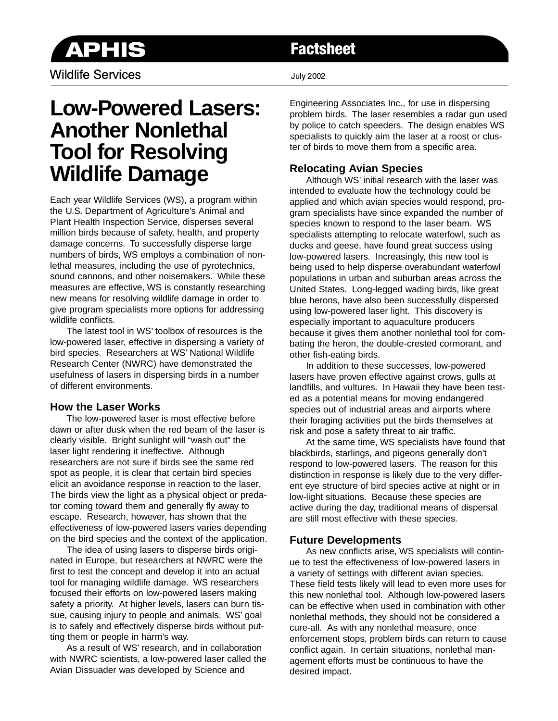

Wildlife Services **Victor** 2002

## **Factsheet**

# **Low-Powered Lasers: Another Nonlethal Tool for Resolving Wildlife Damage**

Each year Wildlife Services (WS), a program within the U.S. Department of Agriculture's Animal and Plant Health Inspection Service, disperses several million birds because of safety, health, and property damage concerns. To successfully disperse large numbers of birds, WS employs a combination of nonlethal measures, including the use of pyrotechnics, sound cannons, and other noisemakers. While these measures are effective, WS is constantly researching new means for resolving wildlife damage in order to give program specialists more options for addressing wildlife conflicts.

The latest tool in WS' toolbox of resources is the low-powered laser, effective in dispersing a variety of bird species. Researchers at WS' National Wildlife Research Center (NWRC) have demonstrated the usefulness of lasers in dispersing birds in a number of different environments.

#### **How the Laser Works**

The low-powered laser is most effective before dawn or after dusk when the red beam of the laser is clearly visible. Bright sunlight will "wash out" the laser light rendering it ineffective. Although researchers are not sure if birds see the same red spot as people, it is clear that certain bird species elicit an avoidance response in reaction to the laser. The birds view the light as a physical object or predator coming toward them and generally fly away to escape. Research, however, has shown that the effectiveness of low-powered lasers varies depending on the bird species and the context of the application.

The idea of using lasers to disperse birds originated in Europe, but researchers at NWRC were the first to test the concept and develop it into an actual tool for managing wildlife damage. WS researchers focused their efforts on low-powered lasers making safety a priority. At higher levels, lasers can burn tissue, causing injury to people and animals. WS' goal is to safely and effectively disperse birds without putting them or people in harm's way.

As a result of WS' research, and in collaboration with NWRC scientists, a low-powered laser called the Avian Dissuader was developed by Science and

Engineering Associates Inc., for use in dispersing problem birds. The laser resembles a radar gun used by police to catch speeders. The design enables WS specialists to quickly aim the laser at a roost or cluster of birds to move them from a specific area.

### **Relocating Avian Species**

Although WS' initial research with the laser was intended to evaluate how the technology could be applied and which avian species would respond, program specialists have since expanded the number of species known to respond to the laser beam. WS specialists attempting to relocate waterfowl, such as ducks and geese, have found great success using low-powered lasers. Increasingly, this new tool is being used to help disperse overabundant waterfowl populations in urban and suburban areas across the United States. Long-legged wading birds, like great blue herons, have also been successfully dispersed using low-powered laser light. This discovery is especially important to aquaculture producers because it gives them another nonlethal tool for combating the heron, the double-crested cormorant, and other fish-eating birds.

In addition to these successes, low-powered lasers have proven effective against crows, gulls at landfills, and vultures. In Hawaii they have been tested as a potential means for moving endangered species out of industrial areas and airports where their foraging activities put the birds themselves at risk and pose a safety threat to air traffic.

At the same time, WS specialists have found that blackbirds, starlings, and pigeons generally don't respond to low-powered lasers. The reason for this distinction in response is likely due to the very different eye structure of bird species active at night or in low-light situations. Because these species are active during the day, traditional means of dispersal are still most effective with these species.

#### **Future Developments**

As new conflicts arise, WS specialists will continue to test the effectiveness of low-powered lasers in a variety of settings with different avian species. These field tests likely will lead to even more uses for this new nonlethal tool. Although low-powered lasers can be effective when used in combination with other nonlethal methods, they should not be considered a cure-all. As with any nonlethal measure, once enforcement stops, problem birds can return to cause conflict again. In certain situations, nonlethal management efforts must be continuous to have the desired impact.